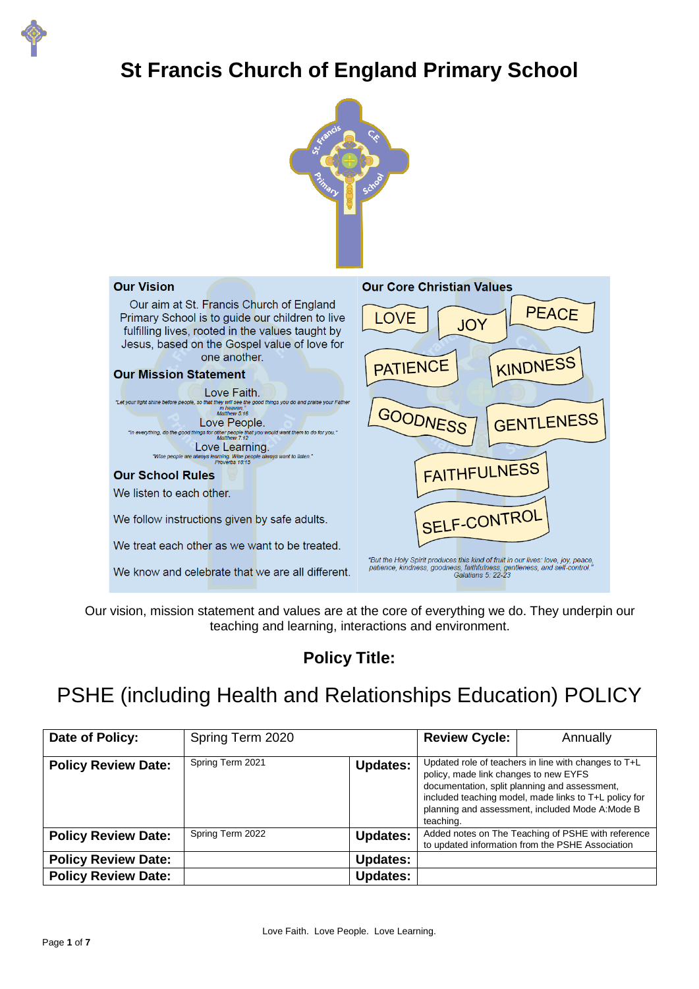

# **St Francis Church of England Primary School**





Our vision, mission statement and values are at the core of everything we do. They underpin our teaching and learning, interactions and environment.

# **Policy Title:**

# PSHE (including Health and Relationships Education) POLICY

| Date of Policy:            | Spring Term 2020 |                 | <b>Review Cycle:</b>                                                                                                                                                                                                                                                     | Annually |
|----------------------------|------------------|-----------------|--------------------------------------------------------------------------------------------------------------------------------------------------------------------------------------------------------------------------------------------------------------------------|----------|
| <b>Policy Review Date:</b> | Spring Term 2021 | <b>Updates:</b> | Updated role of teachers in line with changes to T+L<br>policy, made link changes to new EYFS<br>documentation, split planning and assessment,<br>included teaching model, made links to T+L policy for<br>planning and assessment, included Mode A: Mode B<br>teaching. |          |
| <b>Policy Review Date:</b> | Spring Term 2022 | <b>Updates:</b> | Added notes on The Teaching of PSHE with reference<br>to updated information from the PSHE Association                                                                                                                                                                   |          |
| <b>Policy Review Date:</b> |                  | <b>Updates:</b> |                                                                                                                                                                                                                                                                          |          |
| <b>Policy Review Date:</b> |                  | <b>Updates:</b> |                                                                                                                                                                                                                                                                          |          |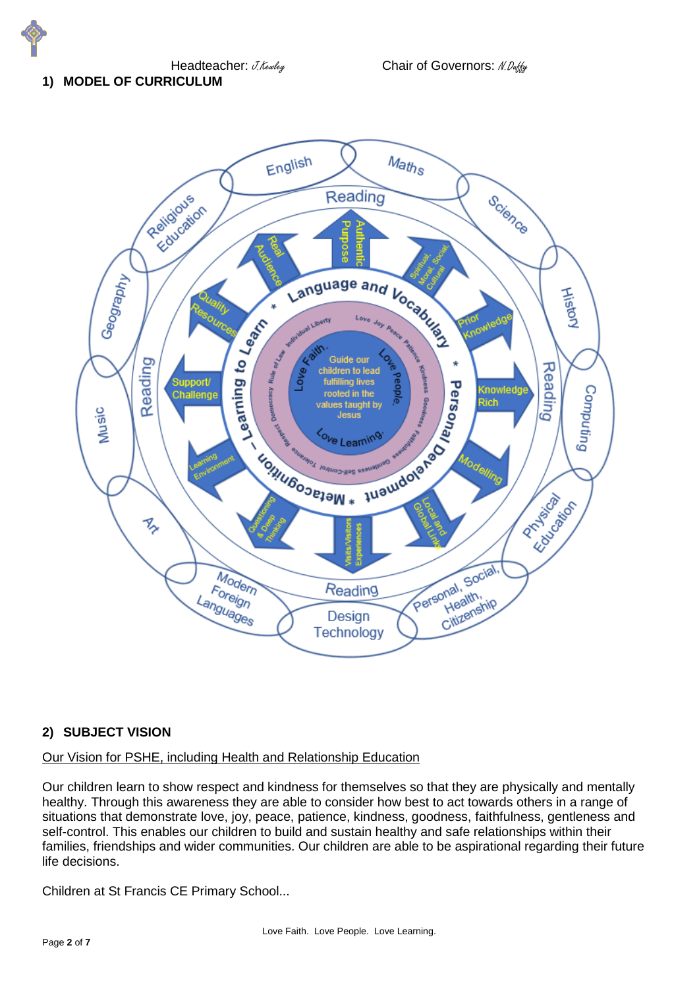**1) MODEL OF CURRICULUM**



# **2) SUBJECT VISION**

# Our Vision for PSHE, including Health and Relationship Education

Our children learn to show respect and kindness for themselves so that they are physically and mentally healthy. Through this awareness they are able to consider how best to act towards others in a range of situations that demonstrate love, joy, peace, patience, kindness, goodness, faithfulness, gentleness and self-control. This enables our children to build and sustain healthy and safe relationships within their families, friendships and wider communities. Our children are able to be aspirational regarding their future life decisions.

Children at St Francis CE Primary School...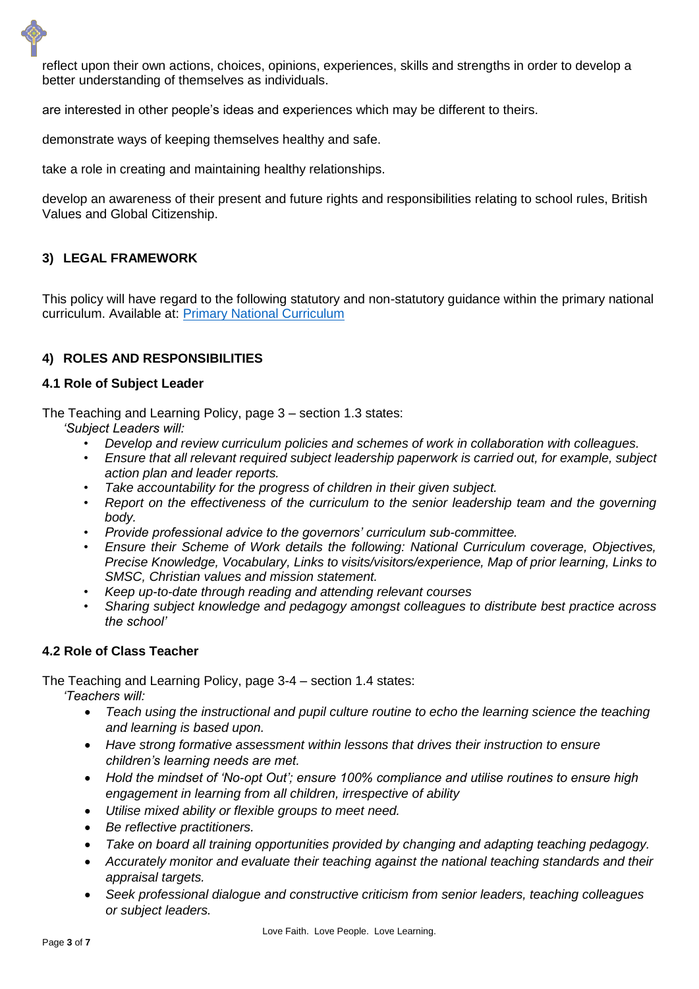reflect upon their own actions, choices, opinions, experiences, skills and strengths in order to develop a better understanding of themselves as individuals.

are interested in other people's ideas and experiences which may be different to theirs.

demonstrate ways of keeping themselves healthy and safe.

take a role in creating and maintaining healthy relationships.

develop an awareness of their present and future rights and responsibilities relating to school rules, British Values and Global Citizenship.

# **3) LEGAL FRAMEWORK**

This policy will have regard to the following statutory and non-statutory guidance within the primary national curriculum. Available at: [Primary National Curriculum](https://www.gov.uk/government/uploads/system/uploads/attachment_data/file/425601/PRIMARY_national_curriculum.pdf)

#### **4) ROLES AND RESPONSIBILITIES**

#### **4.1 Role of Subject Leader**

The Teaching and Learning Policy, page 3 – section 1.3 states:

- *'Subject Leaders will:* 
	- *Develop and review curriculum policies and schemes of work in collaboration with colleagues.*
	- *Ensure that all relevant required subject leadership paperwork is carried out, for example, subject action plan and leader reports.*
	- *Take accountability for the progress of children in their given subject.*
	- *Report on the effectiveness of the curriculum to the senior leadership team and the governing body.*
	- *Provide professional advice to the governors' curriculum sub-committee.*
	- *Ensure their Scheme of Work details the following: National Curriculum coverage, Objectives, Precise Knowledge, Vocabulary, Links to visits/visitors/experience, Map of prior learning, Links to SMSC, Christian values and mission statement.*
	- *Keep up-to-date through reading and attending relevant courses*
	- *Sharing subject knowledge and pedagogy amongst colleagues to distribute best practice across the school'*

# **4.2 Role of Class Teacher**

The Teaching and Learning Policy, page 3-4 – section 1.4 states: *'Teachers will:*

- *Teach using the instructional and pupil culture routine to echo the learning science the teaching and learning is based upon.*
- *Have strong formative assessment within lessons that drives their instruction to ensure children's learning needs are met.*
- *Hold the mindset of 'No-opt Out'; ensure 100% compliance and utilise routines to ensure high engagement in learning from all children, irrespective of ability*
- *Utilise mixed ability or flexible groups to meet need.*
- *Be reflective practitioners.*
- *Take on board all training opportunities provided by changing and adapting teaching pedagogy.*
- *Accurately monitor and evaluate their teaching against the national teaching standards and their appraisal targets.*
- *Seek professional dialogue and constructive criticism from senior leaders, teaching colleagues or subject leaders.*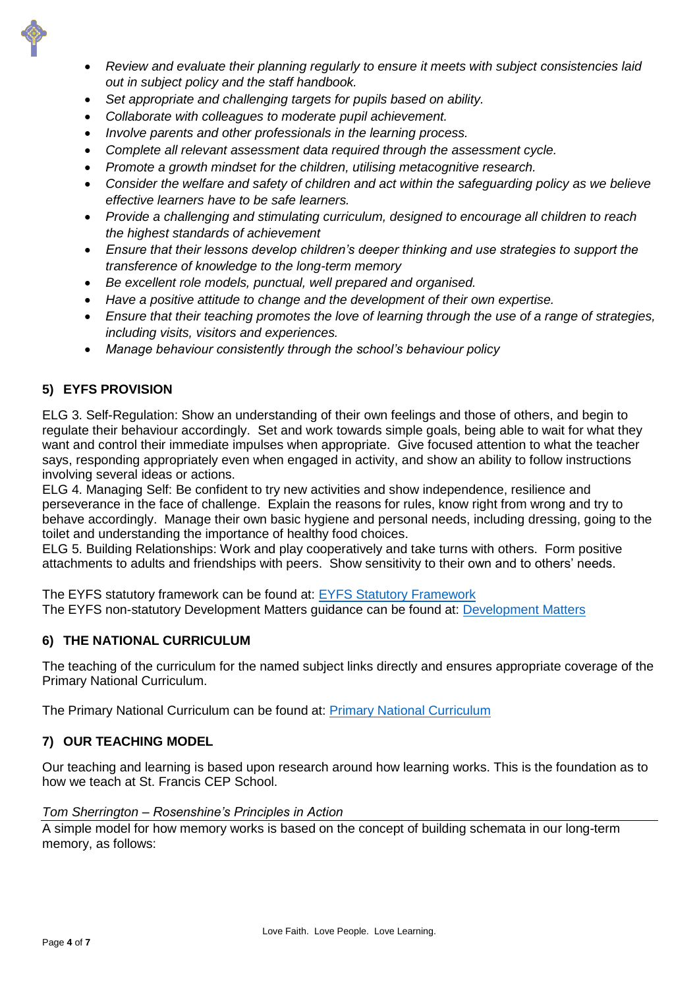

- *Review and evaluate their planning regularly to ensure it meets with subject consistencies laid out in subject policy and the staff handbook.*
- *Set appropriate and challenging targets for pupils based on ability.*
- *Collaborate with colleagues to moderate pupil achievement.*
- *Involve parents and other professionals in the learning process.*
- *Complete all relevant assessment data required through the assessment cycle.*
- *Promote a growth mindset for the children, utilising metacognitive research.*
- *Consider the welfare and safety of children and act within the safeguarding policy as we believe effective learners have to be safe learners.*
- *Provide a challenging and stimulating curriculum, designed to encourage all children to reach the highest standards of achievement*
- *Ensure that their lessons develop children's deeper thinking and use strategies to support the transference of knowledge to the long-term memory*
- *Be excellent role models, punctual, well prepared and organised.*
- *Have a positive attitude to change and the development of their own expertise.*
- *Ensure that their teaching promotes the love of learning through the use of a range of strategies, including visits, visitors and experiences.*
- *Manage behaviour consistently through the school's behaviour policy*

# **5) EYFS PROVISION**

ELG 3. Self-Regulation: Show an understanding of their own feelings and those of others, and begin to regulate their behaviour accordingly. Set and work towards simple goals, being able to wait for what they want and control their immediate impulses when appropriate. Give focused attention to what the teacher says, responding appropriately even when engaged in activity, and show an ability to follow instructions involving several ideas or actions.

ELG 4. Managing Self: Be confident to try new activities and show independence, resilience and perseverance in the face of challenge. Explain the reasons for rules, know right from wrong and try to behave accordingly. Manage their own basic hygiene and personal needs, including dressing, going to the toilet and understanding the importance of healthy food choices.

ELG 5. Building Relationships: Work and play cooperatively and take turns with others. Form positive attachments to adults and friendships with peers. Show sensitivity to their own and to others' needs.

The EYFS statutory framework can be found at: **EYFS Statutory Framework** The EYFS non-statutory Development Matters guidance can be found at: [Development Matters](https://assets.publishing.service.gov.uk/government/uploads/system/uploads/attachment_data/file/1004234/Development_Matters_Non-statutory_Curriculum_Guidance_Revised_July_2021.pdf)

#### **6) THE NATIONAL CURRICULUM**

The teaching of the curriculum for the named subject links directly and ensures appropriate coverage of the Primary National Curriculum.

The Primary National Curriculum can be found at: [Primary National Curriculum](https://www.gov.uk/government/uploads/system/uploads/attachment_data/file/425601/PRIMARY_national_curriculum.pdf)

#### **7) OUR TEACHING MODEL**

Our teaching and learning is based upon research around how learning works. This is the foundation as to how we teach at St. Francis CEP School.

#### *Tom Sherrington – Rosenshine's Principles in Action*

A simple model for how memory works is based on the concept of building schemata in our long-term memory, as follows: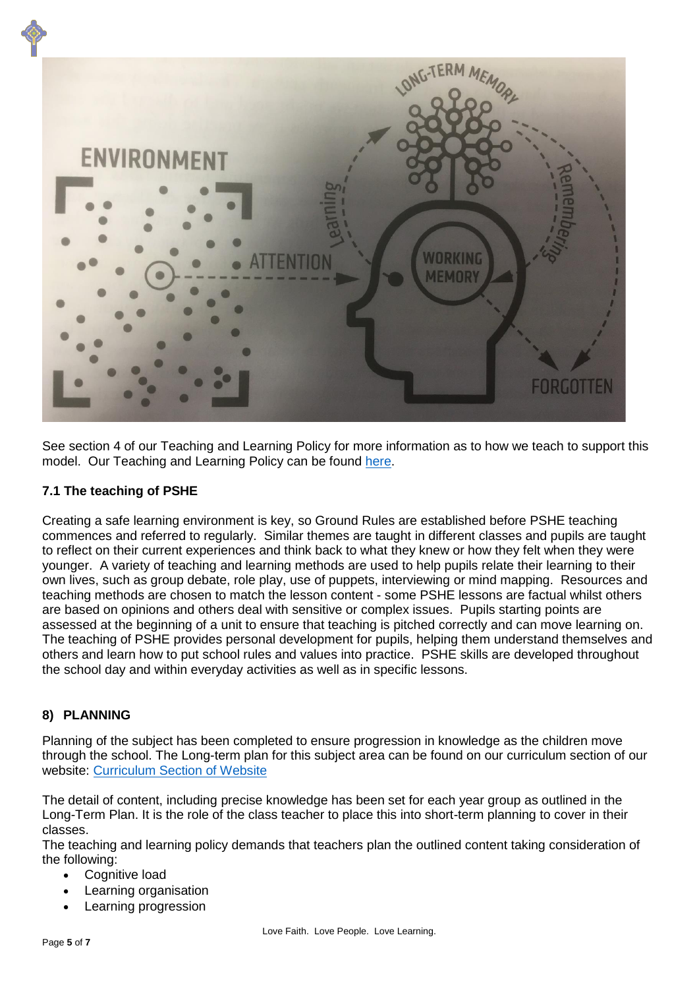

See section 4 of our Teaching and Learning Policy for more information as to how we teach to support this model. Our Teaching and Learning Policy can be found [here.](https://www.theschoolbus.net/compliancemanager/public/teaching-and-learning-policy/72469990-a17e-45db-84f4-7cbea92b1738/22619)

# **7.1 The teaching of PSHE**

Creating a safe learning environment is key, so Ground Rules are established before PSHE teaching commences and referred to regularly. Similar themes are taught in different classes and pupils are taught to reflect on their current experiences and think back to what they knew or how they felt when they were younger. A variety of teaching and learning methods are used to help pupils relate their learning to their own lives, such as group debate, role play, use of puppets, interviewing or mind mapping. Resources and teaching methods are chosen to match the lesson content - some PSHE lessons are factual whilst others are based on opinions and others deal with sensitive or complex issues. Pupils starting points are assessed at the beginning of a unit to ensure that teaching is pitched correctly and can move learning on. The teaching of PSHE provides personal development for pupils, helping them understand themselves and others and learn how to put school rules and values into practice. PSHE skills are developed throughout the school day and within everyday activities as well as in specific lessons.

#### **8) PLANNING**

Planning of the subject has been completed to ensure progression in knowledge as the children move through the school. The Long-term plan for this subject area can be found on our curriculum section of our website: [Curriculum Section of Website](https://www.stfranciscep.co.uk/page/curriculum/83640)

The detail of content, including precise knowledge has been set for each year group as outlined in the Long-Term Plan. It is the role of the class teacher to place this into short-term planning to cover in their classes.

The teaching and learning policy demands that teachers plan the outlined content taking consideration of the following:

- Cognitive load
- Learning organisation
- Learning progression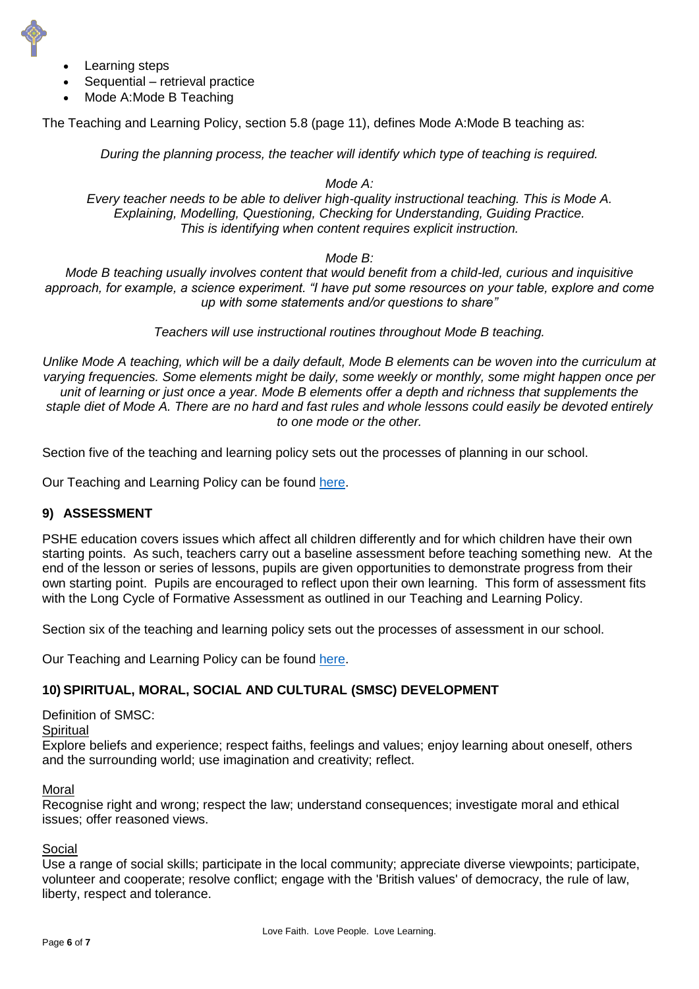

- Learning steps
- Sequential retrieval practice
- Mode A:Mode B Teaching

The Teaching and Learning Policy, section 5.8 (page 11), defines Mode A:Mode B teaching as:

*During the planning process, the teacher will identify which type of teaching is required.*

#### *Mode A:*

*Every teacher needs to be able to deliver high-quality instructional teaching. This is Mode A. Explaining, Modelling, Questioning, Checking for Understanding, Guiding Practice. This is identifying when content requires explicit instruction.*

#### *Mode B:*

*Mode B teaching usually involves content that would benefit from a child-led, curious and inquisitive approach, for example, a science experiment. "I have put some resources on your table, explore and come up with some statements and/or questions to share"*

*Teachers will use instructional routines throughout Mode B teaching.*

*Unlike Mode A teaching, which will be a daily default, Mode B elements can be woven into the curriculum at varying frequencies. Some elements might be daily, some weekly or monthly, some might happen once per unit of learning or just once a year. Mode B elements offer a depth and richness that supplements the staple diet of Mode A. There are no hard and fast rules and whole lessons could easily be devoted entirely to one mode or the other.*

Section five of the teaching and learning policy sets out the processes of planning in our school.

Our Teaching and Learning Policy can be found [here.](https://www.theschoolbus.net/compliancemanager/public/teaching-and-learning-policy/72469990-a17e-45db-84f4-7cbea92b1738/22619)

#### **9) ASSESSMENT**

PSHE education covers issues which affect all children differently and for which children have their own starting points. As such, teachers carry out a baseline assessment before teaching something new. At the end of the lesson or series of lessons, pupils are given opportunities to demonstrate progress from their own starting point. Pupils are encouraged to reflect upon their own learning. This form of assessment fits with the Long Cycle of Formative Assessment as outlined in our Teaching and Learning Policy.

Section six of the teaching and learning policy sets out the processes of assessment in our school.

Our Teaching and Learning Policy can be found [here.](https://www.theschoolbus.net/compliancemanager/public/teaching-and-learning-policy/72469990-a17e-45db-84f4-7cbea92b1738/22619)

#### **10) SPIRITUAL, MORAL, SOCIAL AND CULTURAL (SMSC) DEVELOPMENT**

Definition of SMSC:

**Spiritual** 

Explore beliefs and experience; respect faiths, feelings and values; enjoy learning about oneself, others and the surrounding world; use imagination and creativity; reflect.

#### Moral

Recognise right and wrong; respect the law; understand consequences; investigate moral and ethical issues; offer reasoned views.

#### **Social**

Use a range of social skills; participate in the local community; appreciate diverse viewpoints; participate, volunteer and cooperate; resolve conflict; engage with the 'British values' of democracy, the rule of law, liberty, respect and tolerance.